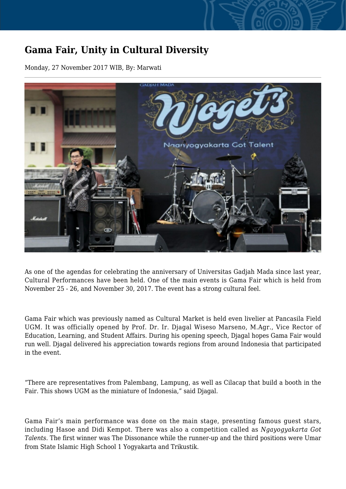## **Gama Fair, Unity in Cultural Diversity**

Monday, 27 November 2017 WIB, By: Marwati



As one of the agendas for celebrating the anniversary of Universitas Gadjah Mada since last year, Cultural Performances have been held. One of the main events is Gama Fair which is held from November 25 - 26, and November 30, 2017. The event has a strong cultural feel.

Gama Fair which was previously named as Cultural Market is held even livelier at Pancasila Field UGM. It was officially opened by Prof. Dr. Ir. Djagal Wiseso Marseno, M.Agr., Vice Rector of Education, Learning, and Student Affairs. During his opening speech, Djagal hopes Gama Fair would run well. Djagal delivered his appreciation towards regions from around Indonesia that participated in the event.

"There are representatives from Palembang, Lampung, as well as Cilacap that build a booth in the Fair. This shows UGM as the miniature of Indonesia," said Djagal.

Gama Fair's main performance was done on the main stage, presenting famous guest stars, including Hasoe and Didi Kempot. There was also a competition called as *Ngayogyakarta Got Talents*. The first winner was The Dissonance while the runner-up and the third positions were Umar from State Islamic High School 1 Yogyakarta and Trikustik.